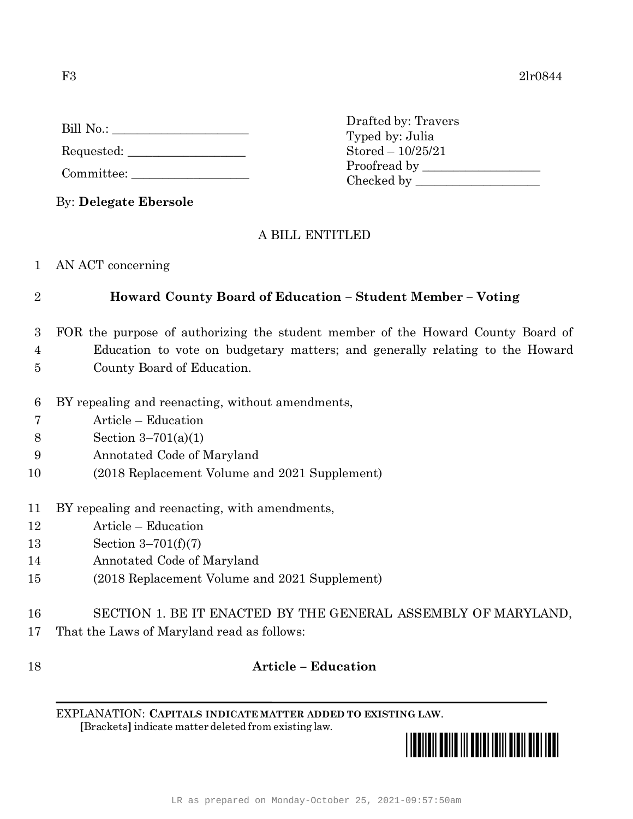| Bill No.: |  |
|-----------|--|
|           |  |

Requested: \_\_\_\_\_\_\_\_\_\_\_\_\_\_\_\_\_\_\_

Committee:

By: **Delegate Ebersole**

## A BILL ENTITLED

Drafted by: Travers Typed by: Julia Stored – 10/25/21

Proofread by \_\_\_\_\_\_\_\_\_\_\_\_\_\_\_\_\_\_\_ Checked by \_\_\_\_\_\_\_\_\_\_\_\_\_\_\_\_\_\_\_\_

1 AN ACT concerning

## 2 **Howard County Board of Education – Student Member – Voting**

- 3 FOR the purpose of authorizing the student member of the Howard County Board of 4 Education to vote on budgetary matters; and generally relating to the Howard
- 5 County Board of Education.
- 6 BY repealing and reenacting, without amendments,
- 7 Article Education
- 8 Section 3–701(a)(1)
- 9 Annotated Code of Maryland
- 10 (2018 Replacement Volume and 2021 Supplement)
- 11 BY repealing and reenacting, with amendments,
- 12 Article Education
- 13 Section 3–701(f)(7)
- 14 Annotated Code of Maryland
- 15 (2018 Replacement Volume and 2021 Supplement)
- 16 SECTION 1. BE IT ENACTED BY THE GENERAL ASSEMBLY OF MARYLAND,
- 17 That the Laws of Maryland read as follows:

## 18 **Article – Education**

EXPLANATION: **CAPITALS INDICATE MATTER ADDED TO EXISTING LAW**.  **[**Brackets**]** indicate matter deleted from existing law.

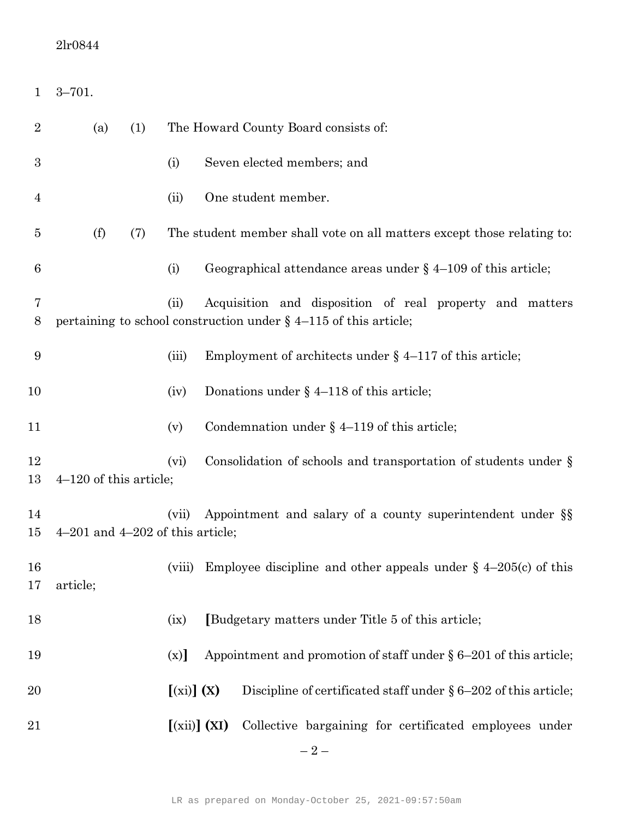## 2lr0844

| $\mathbf{1}$     | $3 - 701.$                                                                                                  |     |                |  |                                                                                                                                 |  |  |
|------------------|-------------------------------------------------------------------------------------------------------------|-----|----------------|--|---------------------------------------------------------------------------------------------------------------------------------|--|--|
| $\overline{2}$   | (a)                                                                                                         | (1) |                |  | The Howard County Board consists of:                                                                                            |  |  |
| $\boldsymbol{3}$ |                                                                                                             |     | (i)            |  | Seven elected members; and                                                                                                      |  |  |
| 4                |                                                                                                             |     | (ii)           |  | One student member.                                                                                                             |  |  |
| 5                | (f)                                                                                                         | (7) |                |  | The student member shall vote on all matters except those relating to:                                                          |  |  |
| 6                |                                                                                                             |     | (i)            |  | Geographical attendance areas under $\S$ 4–109 of this article;                                                                 |  |  |
| 7<br>8           |                                                                                                             |     | (ii)           |  | Acquisition and disposition of real property and matters<br>pertaining to school construction under $\S$ 4-115 of this article; |  |  |
| 9                |                                                                                                             |     | (iii)          |  | Employment of architects under $\S$ 4–117 of this article;                                                                      |  |  |
| 10               |                                                                                                             |     | (iv)           |  | Donations under $\S$ 4–118 of this article;                                                                                     |  |  |
| 11               |                                                                                                             |     | (v)            |  | Condemnation under $\S$ 4–119 of this article;                                                                                  |  |  |
| 12<br>13         | $4-120$ of this article;                                                                                    |     | (vi)           |  | Consolidation of schools and transportation of students under $\S$                                                              |  |  |
| 14<br>15         | Appointment and salary of a county superintendent under §§<br>(vii)<br>$4-201$ and $4-202$ of this article; |     |                |  |                                                                                                                                 |  |  |
| 16<br>17         | article;                                                                                                    |     | (viii)         |  | Employee discipline and other appeals under $\S$ 4-205(c) of this                                                               |  |  |
| 18               |                                                                                                             |     | (ix)           |  | [Budgetary matters under Title 5 of this article;                                                                               |  |  |
| 19               |                                                                                                             |     | (x)            |  | Appointment and promotion of staff under $\S 6-201$ of this article;                                                            |  |  |
| 20               |                                                                                                             |     | $[(xi)]$ $(X)$ |  | Discipline of certificated staff under $\S 6-202$ of this article;                                                              |  |  |
| 21               |                                                                                                             |     | $[(xii)]$ (XI) |  | Collective bargaining for certificated employees under                                                                          |  |  |
|                  |                                                                                                             |     |                |  | $-2-$                                                                                                                           |  |  |